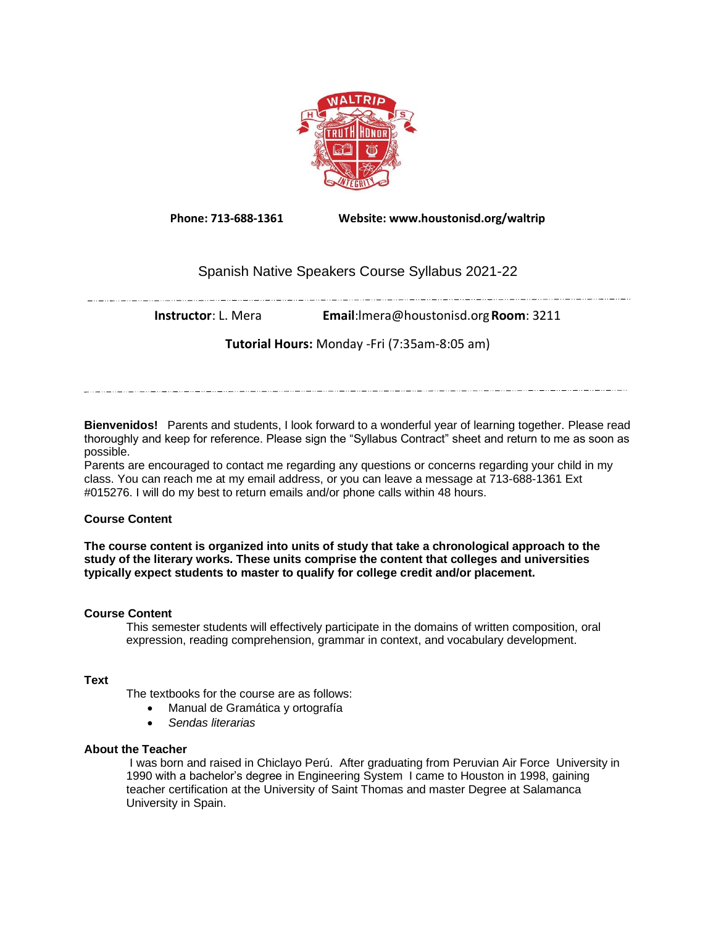

**Phone: 713-688-1361 Website: www.houstonisd.org/waltrip**

# Spanish Native Speakers Course Syllabus 2021-22

**Instructor**: L. Mera **Email**:lmera@houstonisd.org**Room**: 3211

**Tutorial Hours:** Monday -Fri (7:35am-8:05 am)

**Bienvenidos!** Parents and students, I look forward to a wonderful year of learning together. Please read thoroughly and keep for reference. Please sign the "Syllabus Contract" sheet and return to me as soon as possible.

Parents are encouraged to contact me regarding any questions or concerns regarding your child in my class. You can reach me at my email address, or you can leave a message at 713-688-1361 Ext #015276. I will do my best to return emails and/or phone calls within 48 hours.

# **Course Content**

**The course content is organized into units of study that take a chronological approach to the study of the literary works. These units comprise the content that colleges and universities typically expect students to master to qualify for college credit and/or placement.**

# **Course Content**

This semester students will effectively participate in the domains of written composition, oral expression, reading comprehension, grammar in context, and vocabulary development.

# **Text**

The textbooks for the course are as follows:

- Manual de Gramática y ortografía
- *Sendas literarias*

# **About the Teacher**

I was born and raised in Chiclayo Perú. After graduating from Peruvian Air Force University in 1990 with a bachelor's degree in Engineering System I came to Houston in 1998, gaining teacher certification at the University of Saint Thomas and master Degree at Salamanca University in Spain.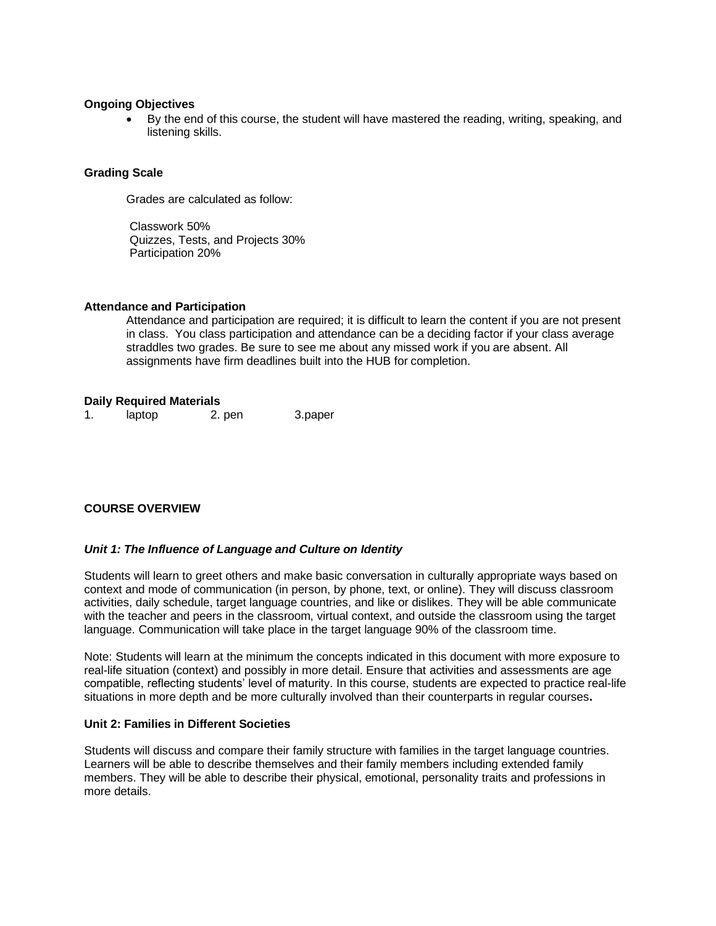#### **Ongoing Objectives**

• By the end of this course, the student will have mastered the reading, writing, speaking, and listening skills.

### **Grading Scale**

Grades are calculated as follow:

Classwork 50% Quizzes, Tests, and Projects 30% Participation 20%

#### **Attendance and Participation**

Attendance and participation are required; it is difficult to learn the content if you are not present in class. You class participation and attendance can be a deciding factor if your class average straddles two grades. Be sure to see me about any missed work if you are absent. All assignments have firm deadlines built into the HUB for completion.

### **Daily Required Materials**

1. laptop 2. pen 3.paper

# **COURSE OVERVIEW**

### *Unit 1: The Influence of Language and Culture on Identity*

Students will learn to greet others and make basic conversation in culturally appropriate ways based on context and mode of communication (in person, by phone, text, or online). They will discuss classroom activities, daily schedule, target language countries, and like or dislikes. They will be able communicate with the teacher and peers in the classroom, virtual context, and outside the classroom using the target language. Communication will take place in the target language 90% of the classroom time.

Note: Students will learn at the minimum the concepts indicated in this document with more exposure to real-life situation (context) and possibly in more detail. Ensure that activities and assessments are age compatible, reflecting students' level of maturity. In this course, students are expected to practice real-life situations in more depth and be more culturally involved than their counterparts in regular courses**.**

### **Unit 2: Families in Different Societies**

Students will discuss and compare their family structure with families in the target language countries. Learners will be able to describe themselves and their family members including extended family members. They will be able to describe their physical, emotional, personality traits and professions in more details.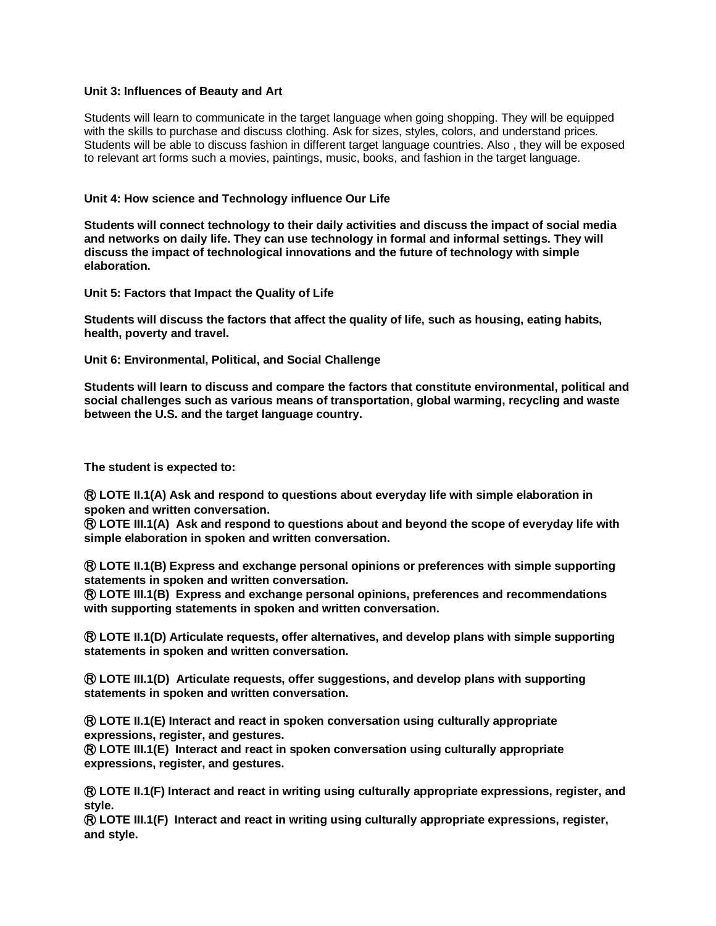### **Unit 3: Influences of Beauty and Art**

Students will learn to communicate in the target language when going shopping. They will be equipped with the skills to purchase and discuss clothing. Ask for sizes, styles, colors, and understand prices. Students will be able to discuss fashion in different target language countries. Also , they will be exposed to relevant art forms such a movies, paintings, music, books, and fashion in the target language.

#### **Unit 4: How science and Technology influence Our Life**

**Students will connect technology to their daily activities and discuss the impact of social media and networks on daily life. They can use technology in formal and informal settings. They will discuss the impact of technological innovations and the future of technology with simple elaboration.**

**Unit 5: Factors that Impact the Quality of Life**

**Students will discuss the factors that affect the quality of life, such as housing, eating habits, health, poverty and travel.**

**Unit 6: Environmental, Political, and Social Challenge**

**Students will learn to discuss and compare the factors that constitute environmental, political and social challenges such as various means of transportation, global warming, recycling and waste between the U.S. and the target language country.**

**The student is expected to:**

Ⓡ **LOTE II.1(A) Ask and respond to questions about everyday life with simple elaboration in spoken and written conversation.**

Ⓡ **LOTE III.1(A) Ask and respond to questions about and beyond the scope of everyday life with simple elaboration in spoken and written conversation.**

Ⓡ **LOTE II.1(B) Express and exchange personal opinions or preferences with simple supporting statements in spoken and written conversation.**

Ⓡ **LOTE III.1(B) Express and exchange personal opinions, preferences and recommendations with supporting statements in spoken and written conversation.**

Ⓡ **LOTE II.1(D) Articulate requests, offer alternatives, and develop plans with simple supporting statements in spoken and written conversation.**

Ⓡ **LOTE III.1(D) Articulate requests, offer suggestions, and develop plans with supporting statements in spoken and written conversation.**

Ⓡ **LOTE II.1(E) Interact and react in spoken conversation using culturally appropriate expressions, register, and gestures.**

Ⓡ **LOTE III.1(E) Interact and react in spoken conversation using culturally appropriate expressions, register, and gestures.**

Ⓡ **LOTE II.1(F) Interact and react in writing using culturally appropriate expressions, register, and style.**

Ⓡ **LOTE III.1(F) Interact and react in writing using culturally appropriate expressions, register, and style.**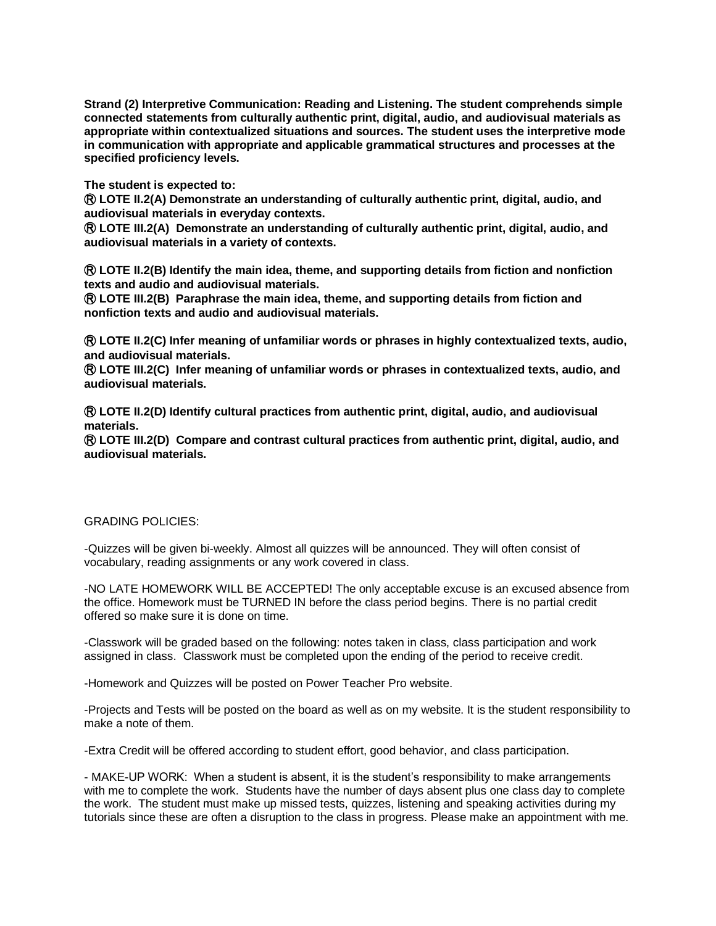**Strand (2) Interpretive Communication: Reading and Listening. The student comprehends simple connected statements from culturally authentic print, digital, audio, and audiovisual materials as appropriate within contextualized situations and sources. The student uses the interpretive mode in communication with appropriate and applicable grammatical structures and processes at the specified proficiency levels.**

**The student is expected to:**

Ⓡ **LOTE II.2(A) Demonstrate an understanding of culturally authentic print, digital, audio, and audiovisual materials in everyday contexts.**

Ⓡ **LOTE III.2(A) Demonstrate an understanding of culturally authentic print, digital, audio, and audiovisual materials in a variety of contexts.**

Ⓡ **LOTE II.2(B) Identify the main idea, theme, and supporting details from fiction and nonfiction texts and audio and audiovisual materials.**

Ⓡ **LOTE III.2(B) Paraphrase the main idea, theme, and supporting details from fiction and nonfiction texts and audio and audiovisual materials.**

Ⓡ **LOTE II.2(C) Infer meaning of unfamiliar words or phrases in highly contextualized texts, audio, and audiovisual materials.**

Ⓡ **LOTE III.2(C) Infer meaning of unfamiliar words or phrases in contextualized texts, audio, and audiovisual materials.**

Ⓡ **LOTE II.2(D) Identify cultural practices from authentic print, digital, audio, and audiovisual materials.**

Ⓡ **LOTE III.2(D) Compare and contrast cultural practices from authentic print, digital, audio, and audiovisual materials.**

### GRADING POLICIES:

-Quizzes will be given bi-weekly. Almost all quizzes will be announced. They will often consist of vocabulary, reading assignments or any work covered in class.

-NO LATE HOMEWORK WILL BE ACCEPTED! The only acceptable excuse is an excused absence from the office. Homework must be TURNED IN before the class period begins. There is no partial credit offered so make sure it is done on time.

-Classwork will be graded based on the following: notes taken in class, class participation and work assigned in class. Classwork must be completed upon the ending of the period to receive credit.

-Homework and Quizzes will be posted on Power Teacher Pro website.

-Projects and Tests will be posted on the board as well as on my website. It is the student responsibility to make a note of them.

-Extra Credit will be offered according to student effort, good behavior, and class participation.

- MAKE-UP WORK: When a student is absent, it is the student's responsibility to make arrangements with me to complete the work. Students have the number of days absent plus one class day to complete the work. The student must make up missed tests, quizzes, listening and speaking activities during my tutorials since these are often a disruption to the class in progress. Please make an appointment with me.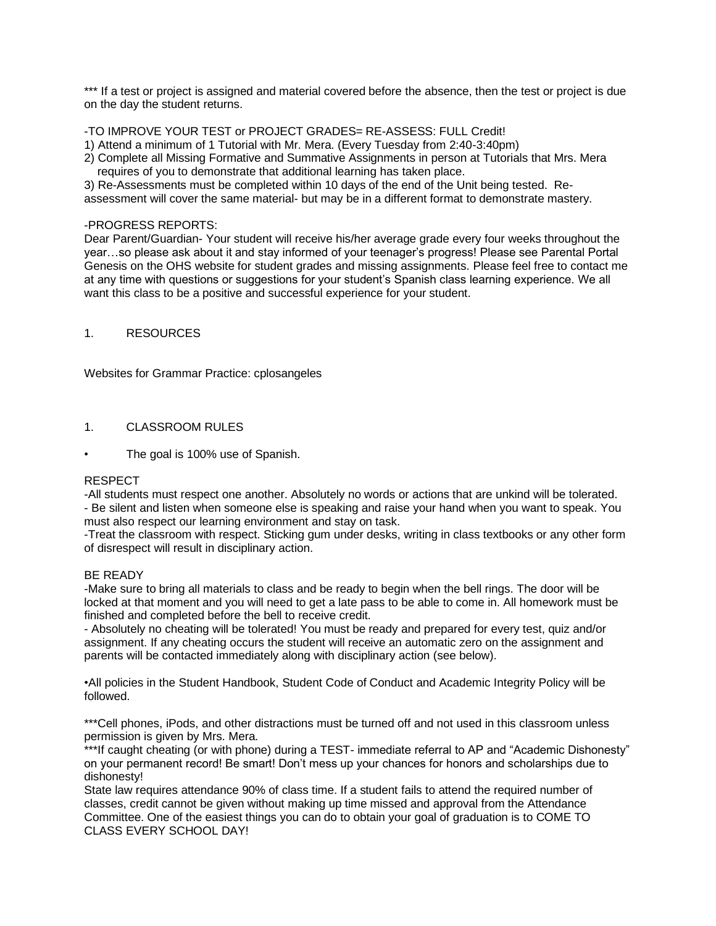\*\*\* If a test or project is assigned and material covered before the absence, then the test or project is due on the day the student returns.

-TO IMPROVE YOUR TEST or PROJECT GRADES= RE-ASSESS: FULL Credit!

1) Attend a minimum of 1 Tutorial with Mr. Mera. (Every Tuesday from 2:40-3:40pm)

2) Complete all Missing Formative and Summative Assignments in person at Tutorials that Mrs. Mera requires of you to demonstrate that additional learning has taken place.

3) Re-Assessments must be completed within 10 days of the end of the Unit being tested. Reassessment will cover the same material- but may be in a different format to demonstrate mastery.

### -PROGRESS REPORTS:

Dear Parent/Guardian- Your student will receive his/her average grade every four weeks throughout the year…so please ask about it and stay informed of your teenager's progress! Please see Parental Portal Genesis on the OHS website for student grades and missing assignments. Please feel free to contact me at any time with questions or suggestions for your student's Spanish class learning experience. We all want this class to be a positive and successful experience for your student.

### 1. RESOURCES

Websites for Grammar Practice: cplosangeles

# 1. CLASSROOM RULES

The goal is 100% use of Spanish.

### RESPECT

-All students must respect one another. Absolutely no words or actions that are unkind will be tolerated.

- Be silent and listen when someone else is speaking and raise your hand when you want to speak. You must also respect our learning environment and stay on task.

-Treat the classroom with respect. Sticking gum under desks, writing in class textbooks or any other form of disrespect will result in disciplinary action.

### BE READY

-Make sure to bring all materials to class and be ready to begin when the bell rings. The door will be locked at that moment and you will need to get a late pass to be able to come in. All homework must be finished and completed before the bell to receive credit.

- Absolutely no cheating will be tolerated! You must be ready and prepared for every test, quiz and/or assignment. If any cheating occurs the student will receive an automatic zero on the assignment and parents will be contacted immediately along with disciplinary action (see below).

•All policies in the Student Handbook, Student Code of Conduct and Academic Integrity Policy will be followed.

\*\*\*Cell phones, iPods, and other distractions must be turned off and not used in this classroom unless permission is given by Mrs. Mera.

\*\*\*If caught cheating (or with phone) during a TEST- immediate referral to AP and "Academic Dishonesty" on your permanent record! Be smart! Don't mess up your chances for honors and scholarships due to dishonesty!

State law requires attendance 90% of class time. If a student fails to attend the required number of classes, credit cannot be given without making up time missed and approval from the Attendance Committee. One of the easiest things you can do to obtain your goal of graduation is to COME TO CLASS EVERY SCHOOL DAY!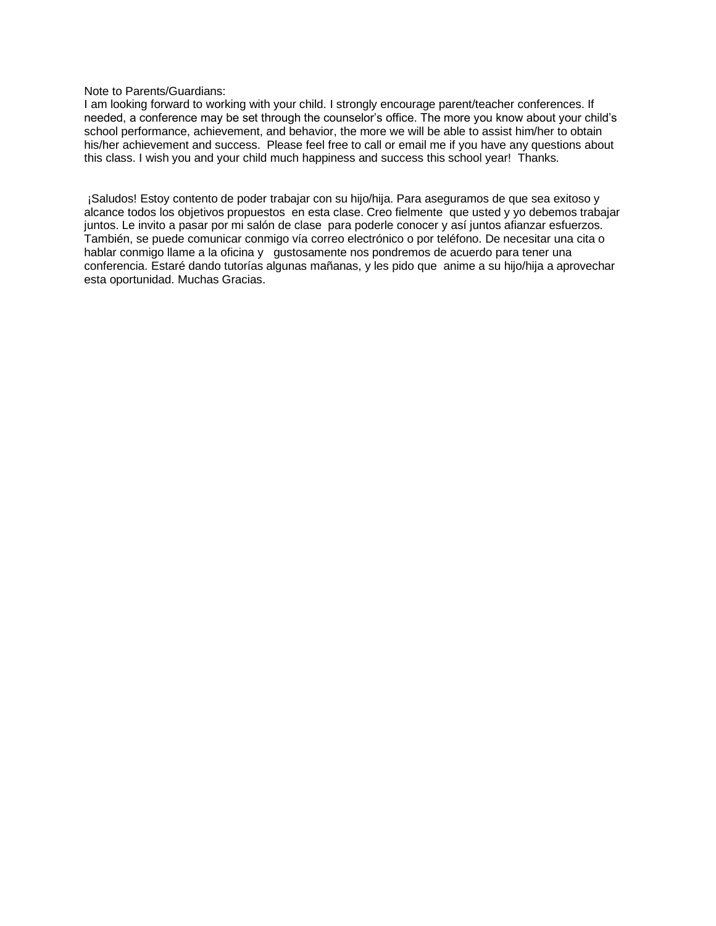Note to Parents/Guardians:

I am looking forward to working with your child. I strongly encourage parent/teacher conferences. If needed, a conference may be set through the counselor's office. The more you know about your child's school performance, achievement, and behavior, the more we will be able to assist him/her to obtain his/her achievement and success. Please feel free to call or email me if you have any questions about this class. I wish you and your child much happiness and success this school year! Thanks.

¡Saludos! Estoy contento de poder trabajar con su hijo/hija. Para aseguramos de que sea exitoso y alcance todos los objetivos propuestos en esta clase. Creo fielmente que usted y yo debemos trabajar juntos. Le invito a pasar por mi salón de clase para poderle conocer y así juntos afianzar esfuerzos. También, se puede comunicar conmigo vía correo electrónico o por teléfono. De necesitar una cita o hablar conmigo llame a la oficina y gustosamente nos pondremos de acuerdo para tener una conferencia. Estaré dando tutorías algunas mañanas, y les pido que anime a su hijo/hija a aprovechar esta oportunidad. Muchas Gracias.